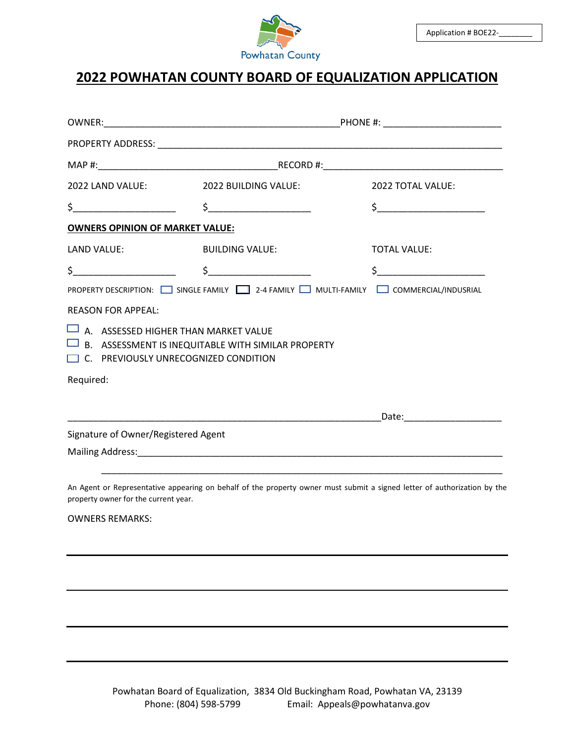

## **2022 POWHATAN COUNTY BOARD OF EQUALIZATION APPLICATION**

|                                                                                                                                                                                                                                                                                                                     | 2022 TOTAL VALUE:                                                                                                                                                                                                                                                                                                                                                                                                                                                                                                                                                                                                                                                                                       |
|---------------------------------------------------------------------------------------------------------------------------------------------------------------------------------------------------------------------------------------------------------------------------------------------------------------------|---------------------------------------------------------------------------------------------------------------------------------------------------------------------------------------------------------------------------------------------------------------------------------------------------------------------------------------------------------------------------------------------------------------------------------------------------------------------------------------------------------------------------------------------------------------------------------------------------------------------------------------------------------------------------------------------------------|
|                                                                                                                                                                                                                                                                                                                     | $\frac{1}{2}$                                                                                                                                                                                                                                                                                                                                                                                                                                                                                                                                                                                                                                                                                           |
|                                                                                                                                                                                                                                                                                                                     |                                                                                                                                                                                                                                                                                                                                                                                                                                                                                                                                                                                                                                                                                                         |
|                                                                                                                                                                                                                                                                                                                     | <b>TOTAL VALUE:</b>                                                                                                                                                                                                                                                                                                                                                                                                                                                                                                                                                                                                                                                                                     |
| $\frac{1}{2}$ $\frac{1}{2}$ $\frac{1}{2}$ $\frac{1}{2}$ $\frac{1}{2}$ $\frac{1}{2}$ $\frac{1}{2}$ $\frac{1}{2}$ $\frac{1}{2}$ $\frac{1}{2}$ $\frac{1}{2}$ $\frac{1}{2}$ $\frac{1}{2}$ $\frac{1}{2}$ $\frac{1}{2}$ $\frac{1}{2}$ $\frac{1}{2}$ $\frac{1}{2}$ $\frac{1}{2}$ $\frac{1}{2}$ $\frac{1}{2}$ $\frac{1}{2}$ | $\sim$                                                                                                                                                                                                                                                                                                                                                                                                                                                                                                                                                                                                                                                                                                  |
|                                                                                                                                                                                                                                                                                                                     | PROPERTY DESCRIPTION: SINGLE FAMILY   2-4 FAMILY   MULTI-FAMILY   COMMERCIAL/INDUSRIAL                                                                                                                                                                                                                                                                                                                                                                                                                                                                                                                                                                                                                  |
|                                                                                                                                                                                                                                                                                                                     |                                                                                                                                                                                                                                                                                                                                                                                                                                                                                                                                                                                                                                                                                                         |
| $\Box$ B. ASSESSMENT IS INEQUITABLE WITH SIMILAR PROPERTY                                                                                                                                                                                                                                                           |                                                                                                                                                                                                                                                                                                                                                                                                                                                                                                                                                                                                                                                                                                         |
|                                                                                                                                                                                                                                                                                                                     |                                                                                                                                                                                                                                                                                                                                                                                                                                                                                                                                                                                                                                                                                                         |
|                                                                                                                                                                                                                                                                                                                     | _Date:__________________________                                                                                                                                                                                                                                                                                                                                                                                                                                                                                                                                                                                                                                                                        |
|                                                                                                                                                                                                                                                                                                                     |                                                                                                                                                                                                                                                                                                                                                                                                                                                                                                                                                                                                                                                                                                         |
|                                                                                                                                                                                                                                                                                                                     |                                                                                                                                                                                                                                                                                                                                                                                                                                                                                                                                                                                                                                                                                                         |
|                                                                                                                                                                                                                                                                                                                     |                                                                                                                                                                                                                                                                                                                                                                                                                                                                                                                                                                                                                                                                                                         |
|                                                                                                                                                                                                                                                                                                                     | 2022 LAND VALUE: 2022 BUILDING VALUE:<br>$\frac{1}{2}$ $\frac{1}{2}$ $\frac{1}{2}$ $\frac{1}{2}$ $\frac{1}{2}$ $\frac{1}{2}$ $\frac{1}{2}$ $\frac{1}{2}$ $\frac{1}{2}$ $\frac{1}{2}$ $\frac{1}{2}$ $\frac{1}{2}$ $\frac{1}{2}$ $\frac{1}{2}$ $\frac{1}{2}$ $\frac{1}{2}$ $\frac{1}{2}$ $\frac{1}{2}$ $\frac{1}{2}$ $\frac{1}{2}$ $\frac{1}{2}$ $\frac{1}{2}$<br><b>OWNERS OPINION OF MARKET VALUE:</b><br>LAND VALUE: BUILDING VALUE:<br>$\Box$ A. ASSESSED HIGHER THAN MARKET VALUE<br>$\Box$ C. PREVIOUSLY UNRECOGNIZED CONDITION<br>Signature of Owner/Registered Agent<br>An Agont or Penroscoptative annoaring on bobalf of the property owner must submit a signed letter of authorization by the |

An Agent or Representative appearing on behalf of the property owner must submit a signed letter of authorization by the property owner for the current year.

OWNERS REMARKS: